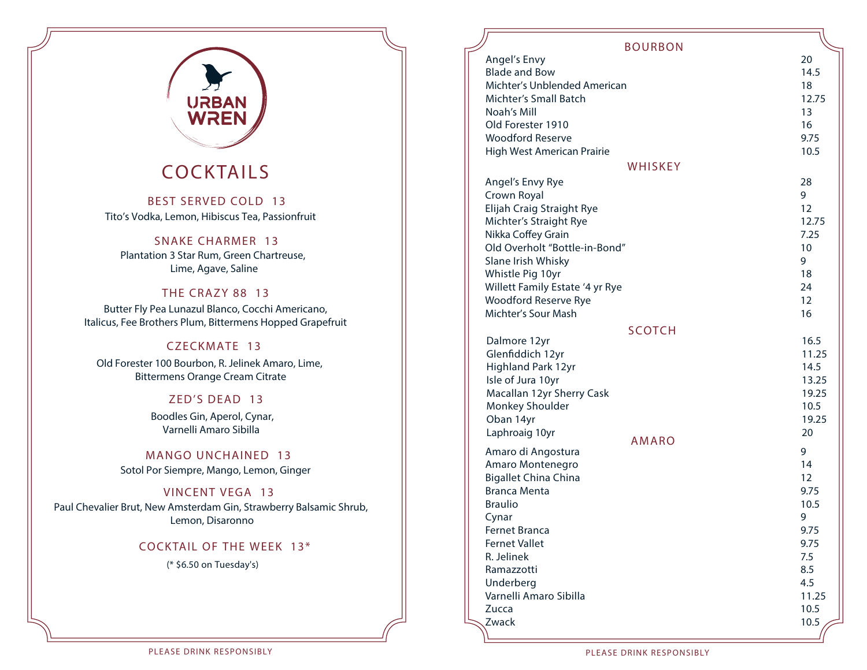

## COCKTAILS

 BEST SERVED COLD 13 **Tito's Vodka, Lemon, Hibiscus Tea, Passionfruit** 

#### SNAKE CHARMER 13

**Plantation 3 Star Rum, Green Chartreuse, Lime, Agave, Saline**

#### THE CRAZY 88 13

**Butter Fly Pea Lunazul Blanco, Cocchi Americano, Italicus, Fee Brothers Plum, Bittermens Hopped Grapefruit** 

#### CZECKMATE 13

**Old Forester 100 Bourbon, R. Jelinek Amaro, Lime, Bittermens Orange Cream Citrate**

#### ZED'S DEAD 13

**Boodles Gin, Aperol, Cynar, Varnelli Amaro Sibilla** 

 MANGO UNCHAINED 13 **Sotol Por Siempre, Mango, Lemon, Ginger** 

#### VINCENT VEGA 13

**Paul Chevalier Brut, New Amsterdam Gin, Strawberry Balsamic Shrub, Lemon, Disaronno**

#### COCKTAIL OF THE WEEK 13\*

**(\* \$6.50 on Tuesday's)**

#### BOURBON

| <b>DUUNDUIN</b>                 |       |
|---------------------------------|-------|
| Angel's Envy                    | 20    |
| <b>Blade and Bow</b>            | 14.5  |
| Michter's Unblended American    | 18    |
| Michter's Small Batch           | 12.75 |
| Noah's Mill                     | 13    |
| Old Forester 1910               | 16    |
| <b>Woodford Reserve</b>         | 9.75  |
| High West American Prairie      | 10.5  |
| WHISKEY                         |       |
| Angel's Envy Rye                | 28    |
| Crown Royal                     | 9     |
| Elijah Craig Straight Rye       | 12    |
| Michter's Straight Rye          | 12.75 |
| Nikka Coffey Grain              | 7.25  |
| Old Overholt "Bottle-in-Bond"   | 10    |
| Slane Irish Whisky              | 9     |
| Whistle Pig 10yr                | 18    |
| Willett Family Estate '4 yr Rye | 24    |
| Woodford Reserve Rye            | 12    |
| Michter's Sour Mash             | 16    |
|                                 |       |
| <b>SCOTCH</b><br>Dalmore 12yr   | 16.5  |
| Glenfiddich 12yr                | 11.25 |
| Highland Park 12yr              | 14.5  |
| Isle of Jura 10yr               | 13.25 |
| Macallan 12yr Sherry Cask       | 19.25 |
| Monkey Shoulder                 | 10.5  |
| Oban 14yr                       | 19.25 |
| Laphroaig 10yr                  | 20    |
| <b>AMARO</b>                    |       |
| Amaro di Angostura              | 9     |
| Amaro Montenegro                | 14    |
| <b>Bigallet China China</b>     | 12    |
| <b>Branca Menta</b>             | 9.75  |
| <b>Braulio</b>                  | 10.5  |
| Cynar                           | 9     |
| Fernet Branca                   | 9.75  |
| Fernet Vallet                   | 9.75  |
| R. Jelinek                      | 7.5   |
| Ramazzotti                      | 8.5   |
| Underberg                       | 4.5   |
| Varnelli Amaro Sibilla          | 11.25 |
| Zucca                           | 10.5  |
| Zwack                           | 10.5  |
|                                 |       |

PLEASE DRINK RESPONSIBLY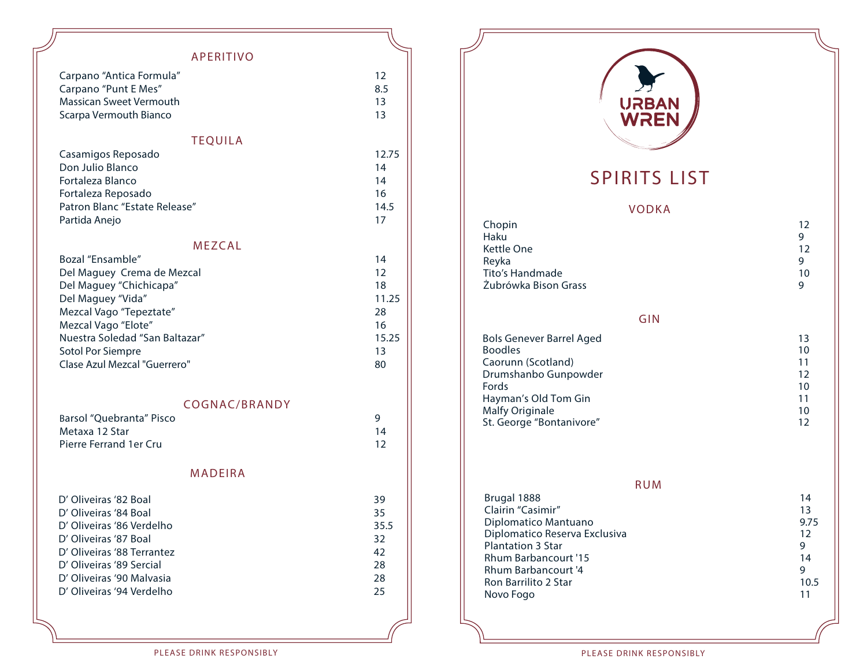#### APERITIVO

| Carpano "Antica Formula" | 12  |
|--------------------------|-----|
| Carpano "Punt E Mes"     | 8.5 |
| Massican Sweet Vermouth  | 13  |
| Scarpa Vermouth Bianco   | 13. |
|                          |     |
| <b>TEOUILA</b>           |     |

| Casamigos Reposado            | 12.75 |
|-------------------------------|-------|
| Don Julio Blanco              | 14    |
| Fortaleza Blanco              | 14    |
| Fortaleza Reposado            | 16    |
| Patron Blanc "Estate Release" | 14.5  |
| Partida Anejo                 | 17    |

#### MEZCAL

| Bozal "Ensamble"               | 14    |
|--------------------------------|-------|
| Del Maguey Crema de Mezcal     | 12    |
| Del Maguey "Chichicapa"        | 18    |
| Del Maguey "Vida"              | 11.25 |
| Mezcal Vago "Tepeztate"        | 28    |
| Mezcal Vago "Elote"            | 16    |
| Nuestra Soledad "San Baltazar" | 15.25 |
| Sotol Por Siempre              | 13    |
| Clase Azul Mezcal "Guerrero"   | 80    |

#### COGNAC/BRANDY

| Barsol "Ouebranta" Pisco |    |
|--------------------------|----|
| Metaxa 12 Star           | 14 |
| Pierre Ferrand 1er Cru   | 12 |

#### MADEIRA

| D' Oliveiras '82 Boal      | 39   |
|----------------------------|------|
| D' Oliveiras '84 Boal      | 35   |
| D' Oliveiras '86 Verdelho  | 35.5 |
| D' Oliveiras '87 Boal      | 32   |
| D' Oliveiras '88 Terrantez | 42   |
| D' Oliveiras '89 Sercial   | 28   |
| D' Oliveiras '90 Malvasia  | 28   |
| D' Oliveiras '94 Verdelho  | 25   |



## SPIRITS LIST

#### VODKA

| Chopin               | 12 |
|----------------------|----|
| Haku                 |    |
| Kettle One           | 12 |
| Reyka                |    |
| Tito's Handmade      | 10 |
| Žubrówka Bison Grass |    |

#### GIN

| <b>Bols Genever Barrel Aged</b> | 13 |
|---------------------------------|----|
| <b>Boodles</b>                  | 10 |
| Caorunn (Scotland)              | 11 |
| Drumshanbo Gunpowder            | 12 |
| Fords                           | 10 |
| Hayman's Old Tom Gin            | 11 |
| Malfy Originale                 | 10 |
| St. George "Bontanivore"        | 12 |
|                                 |    |

RUM Brugal 1888 **14**<br>Clairin "Casimir" **13 Clairin "Casimir" 13 Diplomatico Mantuano 9.75 Diplomatico Reserva Exclusiva** 12<br> **Plantation 3 Star** 9 **Plantation 3 Star** Rhum Barbancourt '15 14<br>Rhum Barbancourt '4 9 Rhum Barbancourt '4 and the second team of the second team of the second team of the second team of the second team of the second team of the second team of the second team of the second team of the second team of the seco **Ron Barrilito 2 Star Novo Fogo 11**